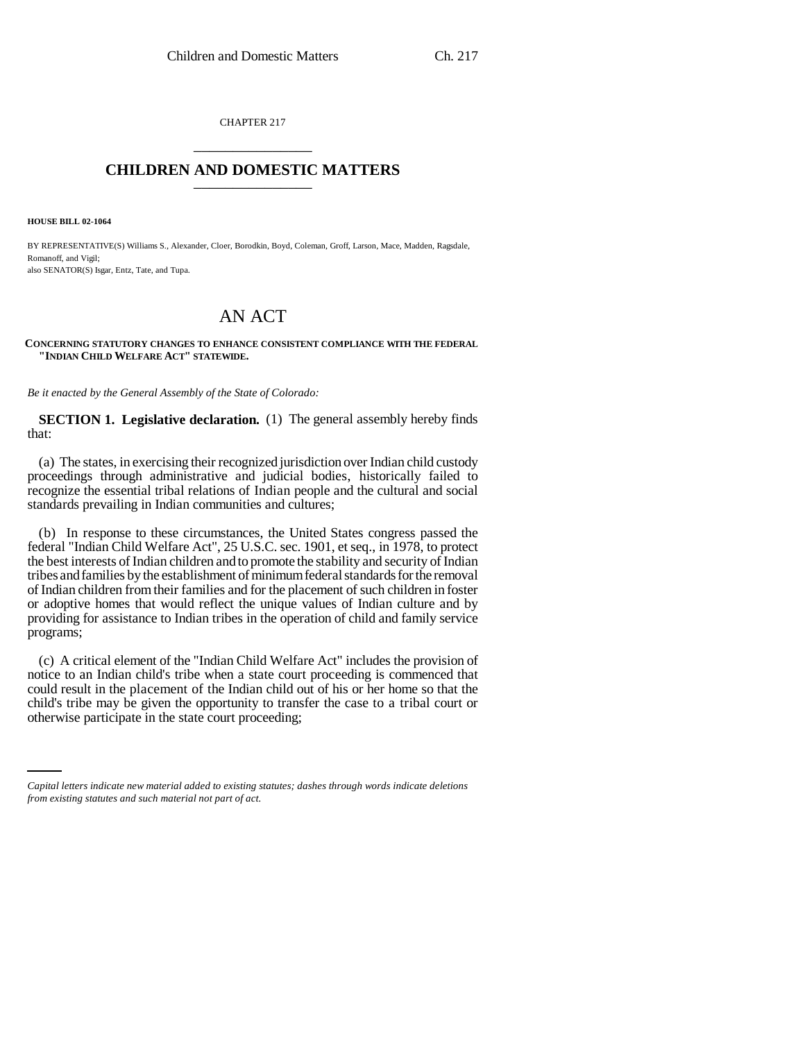CHAPTER 217 \_\_\_\_\_\_\_\_\_\_\_\_\_\_\_

## **CHILDREN AND DOMESTIC MATTERS** \_\_\_\_\_\_\_\_\_\_\_\_\_\_\_

**HOUSE BILL 02-1064**

BY REPRESENTATIVE(S) Williams S., Alexander, Cloer, Borodkin, Boyd, Coleman, Groff, Larson, Mace, Madden, Ragsdale, Romanoff, and Vigil: also SENATOR(S) Isgar, Entz, Tate, and Tupa.

## AN ACT

**CONCERNING STATUTORY CHANGES TO ENHANCE CONSISTENT COMPLIANCE WITH THE FEDERAL "INDIAN CHILD WELFARE ACT" STATEWIDE.**

*Be it enacted by the General Assembly of the State of Colorado:*

**SECTION 1. Legislative declaration.** (1) The general assembly hereby finds that:

(a) The states, in exercising their recognized jurisdiction over Indian child custody proceedings through administrative and judicial bodies, historically failed to recognize the essential tribal relations of Indian people and the cultural and social standards prevailing in Indian communities and cultures;

(b) In response to these circumstances, the United States congress passed the federal "Indian Child Welfare Act", 25 U.S.C. sec. 1901, et seq., in 1978, to protect the best interests of Indian children and to promote the stability and security of Indian tribes and families by the establishment of minimum federal standards for the removal of Indian children from their families and for the placement of such children in foster or adoptive homes that would reflect the unique values of Indian culture and by providing for assistance to Indian tribes in the operation of child and family service programs;

child's tribe may be given the opportunity to transfer the case to a tribal court or (c) A critical element of the "Indian Child Welfare Act" includes the provision of notice to an Indian child's tribe when a state court proceeding is commenced that could result in the placement of the Indian child out of his or her home so that the otherwise participate in the state court proceeding;

*Capital letters indicate new material added to existing statutes; dashes through words indicate deletions from existing statutes and such material not part of act.*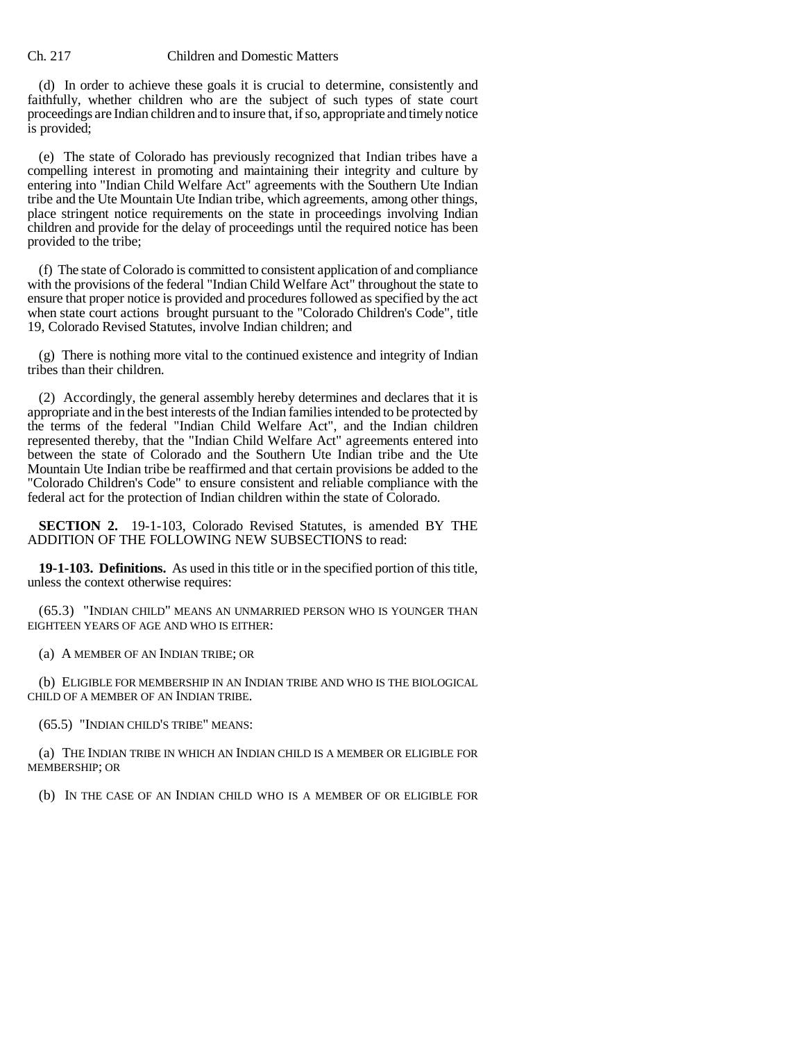## Ch. 217 Children and Domestic Matters

(d) In order to achieve these goals it is crucial to determine, consistently and faithfully, whether children who are the subject of such types of state court proceedings are Indian children and to insure that, if so, appropriate and timely notice is provided;

(e) The state of Colorado has previously recognized that Indian tribes have a compelling interest in promoting and maintaining their integrity and culture by entering into "Indian Child Welfare Act" agreements with the Southern Ute Indian tribe and the Ute Mountain Ute Indian tribe, which agreements, among other things, place stringent notice requirements on the state in proceedings involving Indian children and provide for the delay of proceedings until the required notice has been provided to the tribe;

(f) The state of Colorado is committed to consistent application of and compliance with the provisions of the federal "Indian Child Welfare Act" throughout the state to ensure that proper notice is provided and procedures followed as specified by the act when state court actions brought pursuant to the "Colorado Children's Code", title 19, Colorado Revised Statutes, involve Indian children; and

(g) There is nothing more vital to the continued existence and integrity of Indian tribes than their children.

(2) Accordingly, the general assembly hereby determines and declares that it is appropriate and in the best interests of the Indian families intended to be protected by the terms of the federal "Indian Child Welfare Act", and the Indian children represented thereby, that the "Indian Child Welfare Act" agreements entered into between the state of Colorado and the Southern Ute Indian tribe and the Ute Mountain Ute Indian tribe be reaffirmed and that certain provisions be added to the "Colorado Children's Code" to ensure consistent and reliable compliance with the federal act for the protection of Indian children within the state of Colorado.

**SECTION 2.** 19-1-103, Colorado Revised Statutes, is amended BY THE ADDITION OF THE FOLLOWING NEW SUBSECTIONS to read:

**19-1-103. Definitions.** As used in this title or in the specified portion of this title, unless the context otherwise requires:

(65.3) "INDIAN CHILD" MEANS AN UNMARRIED PERSON WHO IS YOUNGER THAN EIGHTEEN YEARS OF AGE AND WHO IS EITHER:

(a) A MEMBER OF AN INDIAN TRIBE; OR

(b) ELIGIBLE FOR MEMBERSHIP IN AN INDIAN TRIBE AND WHO IS THE BIOLOGICAL CHILD OF A MEMBER OF AN INDIAN TRIBE.

(65.5) "INDIAN CHILD'S TRIBE" MEANS:

(a) THE INDIAN TRIBE IN WHICH AN INDIAN CHILD IS A MEMBER OR ELIGIBLE FOR MEMBERSHIP; OR

(b) IN THE CASE OF AN INDIAN CHILD WHO IS A MEMBER OF OR ELIGIBLE FOR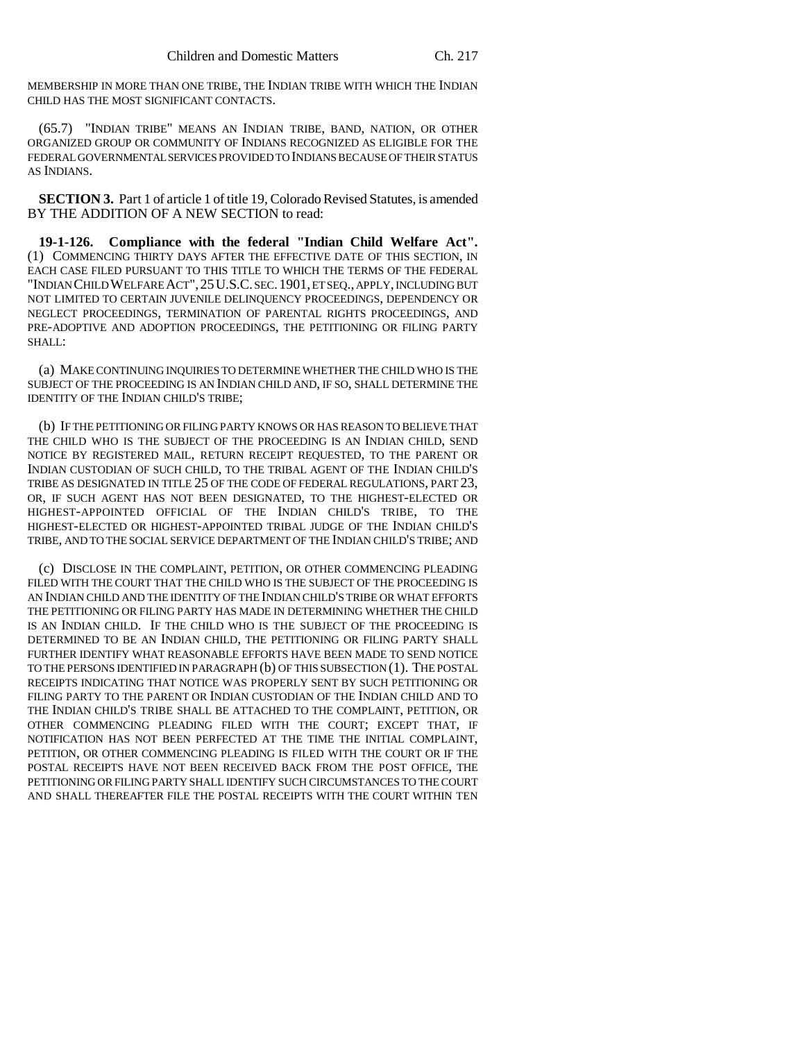MEMBERSHIP IN MORE THAN ONE TRIBE, THE INDIAN TRIBE WITH WHICH THE INDIAN CHILD HAS THE MOST SIGNIFICANT CONTACTS.

(65.7) "INDIAN TRIBE" MEANS AN INDIAN TRIBE, BAND, NATION, OR OTHER ORGANIZED GROUP OR COMMUNITY OF INDIANS RECOGNIZED AS ELIGIBLE FOR THE FEDERAL GOVERNMENTAL SERVICES PROVIDED TO INDIANS BECAUSE OF THEIR STATUS AS INDIANS.

**SECTION 3.** Part 1 of article 1 of title 19, Colorado Revised Statutes, is amended BY THE ADDITION OF A NEW SECTION to read:

**19-1-126. Compliance with the federal "Indian Child Welfare Act".** (1) COMMENCING THIRTY DAYS AFTER THE EFFECTIVE DATE OF THIS SECTION, IN EACH CASE FILED PURSUANT TO THIS TITLE TO WHICH THE TERMS OF THE FEDERAL "INDIAN CHILD WELFARE ACT",25U.S.C. SEC.1901, ET SEQ., APPLY, INCLUDING BUT NOT LIMITED TO CERTAIN JUVENILE DELINQUENCY PROCEEDINGS, DEPENDENCY OR NEGLECT PROCEEDINGS, TERMINATION OF PARENTAL RIGHTS PROCEEDINGS, AND PRE-ADOPTIVE AND ADOPTION PROCEEDINGS, THE PETITIONING OR FILING PARTY SHALL:

(a) MAKE CONTINUING INQUIRIES TO DETERMINE WHETHER THE CHILD WHO IS THE SUBJECT OF THE PROCEEDING IS AN INDIAN CHILD AND, IF SO, SHALL DETERMINE THE IDENTITY OF THE INDIAN CHILD'S TRIBE;

(b) IF THE PETITIONING OR FILING PARTY KNOWS OR HAS REASON TO BELIEVE THAT THE CHILD WHO IS THE SUBJECT OF THE PROCEEDING IS AN INDIAN CHILD, SEND NOTICE BY REGISTERED MAIL, RETURN RECEIPT REQUESTED, TO THE PARENT OR INDIAN CUSTODIAN OF SUCH CHILD, TO THE TRIBAL AGENT OF THE INDIAN CHILD'S TRIBE AS DESIGNATED IN TITLE 25 OF THE CODE OF FEDERAL REGULATIONS, PART 23, OR, IF SUCH AGENT HAS NOT BEEN DESIGNATED, TO THE HIGHEST-ELECTED OR HIGHEST-APPOINTED OFFICIAL OF THE INDIAN CHILD'S TRIBE, TO THE HIGHEST-ELECTED OR HIGHEST-APPOINTED TRIBAL JUDGE OF THE INDIAN CHILD'S TRIBE, AND TO THE SOCIAL SERVICE DEPARTMENT OF THE INDIAN CHILD'S TRIBE; AND

(c) DISCLOSE IN THE COMPLAINT, PETITION, OR OTHER COMMENCING PLEADING FILED WITH THE COURT THAT THE CHILD WHO IS THE SUBJECT OF THE PROCEEDING IS AN INDIAN CHILD AND THE IDENTITY OF THE INDIAN CHILD'S TRIBE OR WHAT EFFORTS THE PETITIONING OR FILING PARTY HAS MADE IN DETERMINING WHETHER THE CHILD IS AN INDIAN CHILD. IF THE CHILD WHO IS THE SUBJECT OF THE PROCEEDING IS DETERMINED TO BE AN INDIAN CHILD, THE PETITIONING OR FILING PARTY SHALL FURTHER IDENTIFY WHAT REASONABLE EFFORTS HAVE BEEN MADE TO SEND NOTICE TO THE PERSONS IDENTIFIED IN PARAGRAPH (b) OF THIS SUBSECTION (1). THE POSTAL RECEIPTS INDICATING THAT NOTICE WAS PROPERLY SENT BY SUCH PETITIONING OR FILING PARTY TO THE PARENT OR INDIAN CUSTODIAN OF THE INDIAN CHILD AND TO THE INDIAN CHILD'S TRIBE SHALL BE ATTACHED TO THE COMPLAINT, PETITION, OR OTHER COMMENCING PLEADING FILED WITH THE COURT; EXCEPT THAT, IF NOTIFICATION HAS NOT BEEN PERFECTED AT THE TIME THE INITIAL COMPLAINT, PETITION, OR OTHER COMMENCING PLEADING IS FILED WITH THE COURT OR IF THE POSTAL RECEIPTS HAVE NOT BEEN RECEIVED BACK FROM THE POST OFFICE, THE PETITIONING OR FILING PARTY SHALL IDENTIFY SUCH CIRCUMSTANCES TO THE COURT AND SHALL THEREAFTER FILE THE POSTAL RECEIPTS WITH THE COURT WITHIN TEN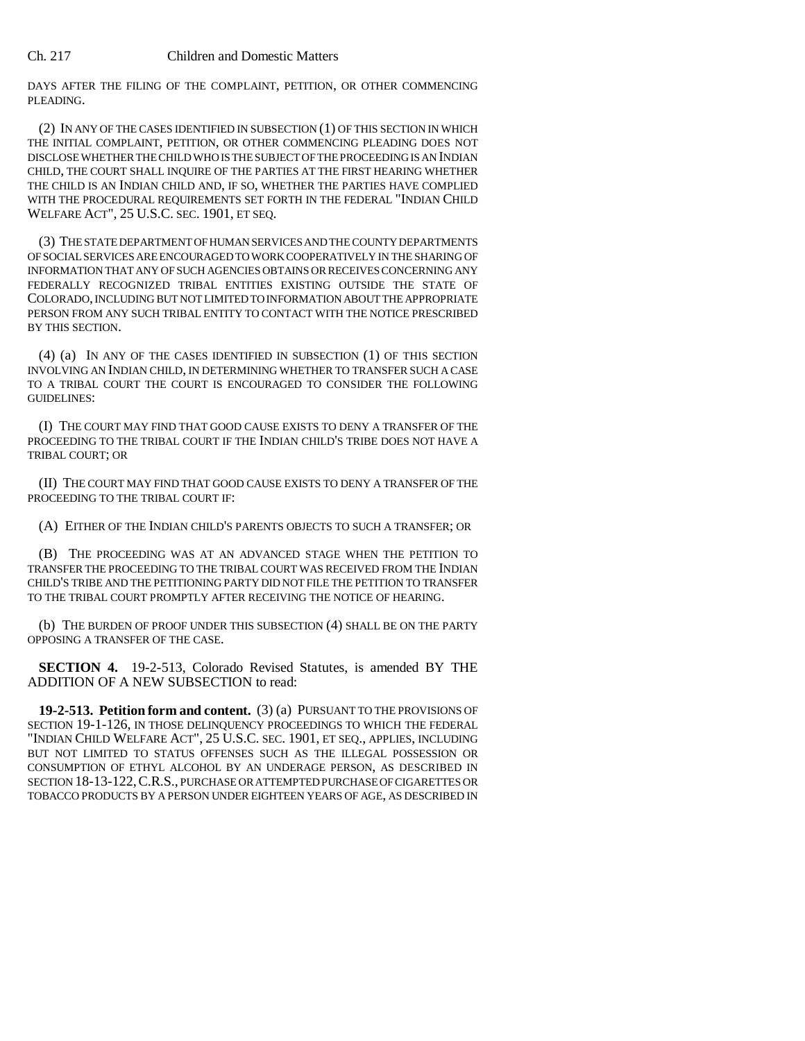## Ch. 217 Children and Domestic Matters

DAYS AFTER THE FILING OF THE COMPLAINT, PETITION, OR OTHER COMMENCING PLEADING.

(2) IN ANY OF THE CASES IDENTIFIED IN SUBSECTION (1) OF THIS SECTION IN WHICH THE INITIAL COMPLAINT, PETITION, OR OTHER COMMENCING PLEADING DOES NOT DISCLOSE WHETHER THE CHILD WHO IS THE SUBJECT OF THE PROCEEDING IS AN INDIAN CHILD, THE COURT SHALL INQUIRE OF THE PARTIES AT THE FIRST HEARING WHETHER THE CHILD IS AN INDIAN CHILD AND, IF SO, WHETHER THE PARTIES HAVE COMPLIED WITH THE PROCEDURAL REQUIREMENTS SET FORTH IN THE FEDERAL "INDIAN CHILD WELFARE ACT", 25 U.S.C. SEC. 1901, ET SEQ.

(3) THE STATE DEPARTMENT OF HUMAN SERVICES AND THE COUNTY DEPARTMENTS OF SOCIAL SERVICES ARE ENCOURAGED TO WORK COOPERATIVELY IN THE SHARING OF INFORMATION THAT ANY OF SUCH AGENCIES OBTAINS OR RECEIVES CONCERNING ANY FEDERALLY RECOGNIZED TRIBAL ENTITIES EXISTING OUTSIDE THE STATE OF COLORADO, INCLUDING BUT NOT LIMITED TO INFORMATION ABOUT THE APPROPRIATE PERSON FROM ANY SUCH TRIBAL ENTITY TO CONTACT WITH THE NOTICE PRESCRIBED BY THIS SECTION.

(4) (a) IN ANY OF THE CASES IDENTIFIED IN SUBSECTION (1) OF THIS SECTION INVOLVING AN INDIAN CHILD, IN DETERMINING WHETHER TO TRANSFER SUCH A CASE TO A TRIBAL COURT THE COURT IS ENCOURAGED TO CONSIDER THE FOLLOWING GUIDELINES:

(I) THE COURT MAY FIND THAT GOOD CAUSE EXISTS TO DENY A TRANSFER OF THE PROCEEDING TO THE TRIBAL COURT IF THE INDIAN CHILD'S TRIBE DOES NOT HAVE A TRIBAL COURT; OR

(II) THE COURT MAY FIND THAT GOOD CAUSE EXISTS TO DENY A TRANSFER OF THE PROCEEDING TO THE TRIBAL COURT IF:

(A) EITHER OF THE INDIAN CHILD'S PARENTS OBJECTS TO SUCH A TRANSFER; OR

(B) THE PROCEEDING WAS AT AN ADVANCED STAGE WHEN THE PETITION TO TRANSFER THE PROCEEDING TO THE TRIBAL COURT WAS RECEIVED FROM THE INDIAN CHILD'S TRIBE AND THE PETITIONING PARTY DID NOT FILE THE PETITION TO TRANSFER TO THE TRIBAL COURT PROMPTLY AFTER RECEIVING THE NOTICE OF HEARING.

(b) THE BURDEN OF PROOF UNDER THIS SUBSECTION (4) SHALL BE ON THE PARTY OPPOSING A TRANSFER OF THE CASE.

**SECTION 4.** 19-2-513, Colorado Revised Statutes, is amended BY THE ADDITION OF A NEW SUBSECTION to read:

**19-2-513. Petition form and content.** (3) (a) PURSUANT TO THE PROVISIONS OF SECTION 19-1-126, IN THOSE DELINQUENCY PROCEEDINGS TO WHICH THE FEDERAL "INDIAN CHILD WELFARE ACT", 25 U.S.C. SEC. 1901, ET SEQ., APPLIES, INCLUDING BUT NOT LIMITED TO STATUS OFFENSES SUCH AS THE ILLEGAL POSSESSION OR CONSUMPTION OF ETHYL ALCOHOL BY AN UNDERAGE PERSON, AS DESCRIBED IN SECTION 18-13-122, C.R.S., PURCHASE OR ATTEMPTED PURCHASE OF CIGARETTES OR TOBACCO PRODUCTS BY A PERSON UNDER EIGHTEEN YEARS OF AGE, AS DESCRIBED IN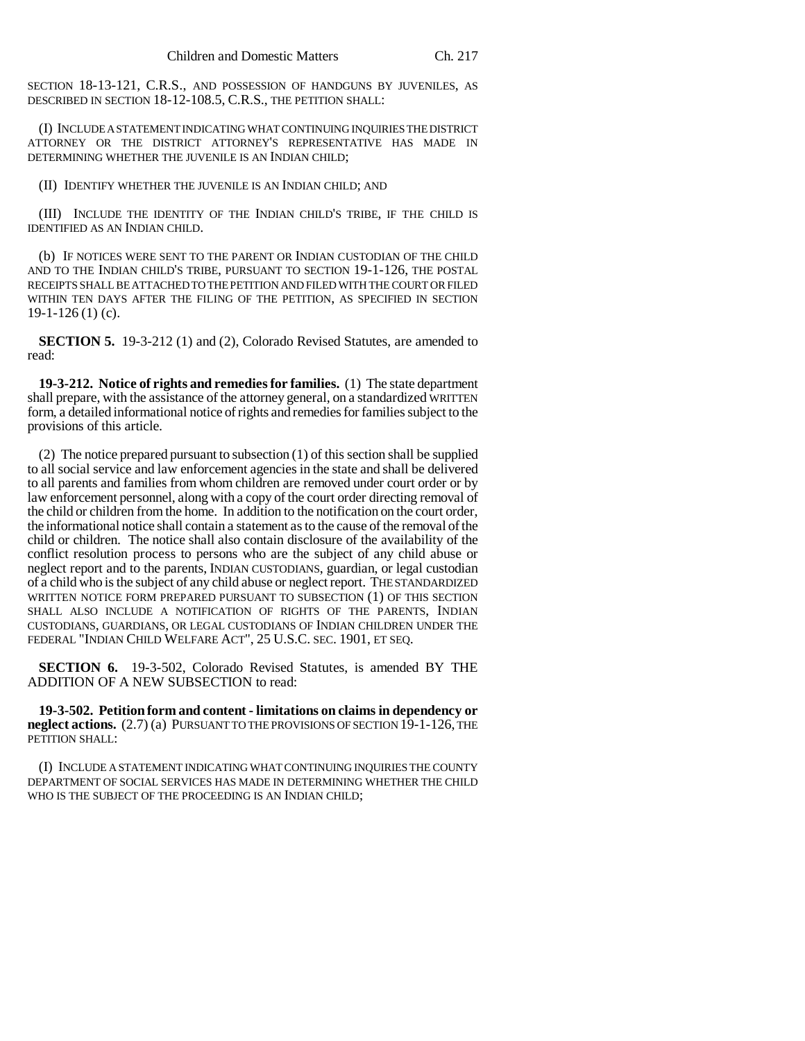SECTION 18-13-121, C.R.S., AND POSSESSION OF HANDGUNS BY JUVENILES, AS DESCRIBED IN SECTION 18-12-108.5, C.R.S., THE PETITION SHALL:

(I) INCLUDE A STATEMENT INDICATING WHAT CONTINUING INQUIRIES THE DISTRICT ATTORNEY OR THE DISTRICT ATTORNEY'S REPRESENTATIVE HAS MADE IN DETERMINING WHETHER THE JUVENILE IS AN INDIAN CHILD;

(II) IDENTIFY WHETHER THE JUVENILE IS AN INDIAN CHILD; AND

(III) INCLUDE THE IDENTITY OF THE INDIAN CHILD'S TRIBE, IF THE CHILD IS IDENTIFIED AS AN INDIAN CHILD.

(b) IF NOTICES WERE SENT TO THE PARENT OR INDIAN CUSTODIAN OF THE CHILD AND TO THE INDIAN CHILD'S TRIBE, PURSUANT TO SECTION 19-1-126, THE POSTAL RECEIPTS SHALL BE ATTACHED TO THE PETITION AND FILED WITH THE COURT OR FILED WITHIN TEN DAYS AFTER THE FILING OF THE PETITION, AS SPECIFIED IN SECTION  $19-1-126(1)$  (c).

**SECTION 5.** 19-3-212 (1) and (2), Colorado Revised Statutes, are amended to read:

**19-3-212. Notice of rights and remedies for families.** (1) The state department shall prepare, with the assistance of the attorney general, on a standardized WRITTEN form, a detailed informational notice of rights and remedies for families subject to the provisions of this article.

(2) The notice prepared pursuant to subsection (1) of this section shall be supplied to all social service and law enforcement agencies in the state and shall be delivered to all parents and families from whom children are removed under court order or by law enforcement personnel, along with a copy of the court order directing removal of the child or children from the home. In addition to the notification on the court order, the informational notice shall contain a statement as to the cause of the removal of the child or children. The notice shall also contain disclosure of the availability of the conflict resolution process to persons who are the subject of any child abuse or neglect report and to the parents, INDIAN CUSTODIANS, guardian, or legal custodian of a child who is the subject of any child abuse or neglect report. THE STANDARDIZED WRITTEN NOTICE FORM PREPARED PURSUANT TO SUBSECTION (1) OF THIS SECTION SHALL ALSO INCLUDE A NOTIFICATION OF RIGHTS OF THE PARENTS, INDIAN CUSTODIANS, GUARDIANS, OR LEGAL CUSTODIANS OF INDIAN CHILDREN UNDER THE FEDERAL "INDIAN CHILD WELFARE ACT", 25 U.S.C. SEC. 1901, ET SEQ.

**SECTION 6.** 19-3-502, Colorado Revised Statutes, is amended BY THE ADDITION OF A NEW SUBSECTION to read:

**19-3-502. Petition form and content - limitations on claims in dependency or neglect actions.** (2.7) (a) PURSUANT TO THE PROVISIONS OF SECTION 19-1-126, THE PETITION SHALL:

(I) INCLUDE A STATEMENT INDICATING WHAT CONTINUING INQUIRIES THE COUNTY DEPARTMENT OF SOCIAL SERVICES HAS MADE IN DETERMINING WHETHER THE CHILD WHO IS THE SUBJECT OF THE PROCEEDING IS AN INDIAN CHILD;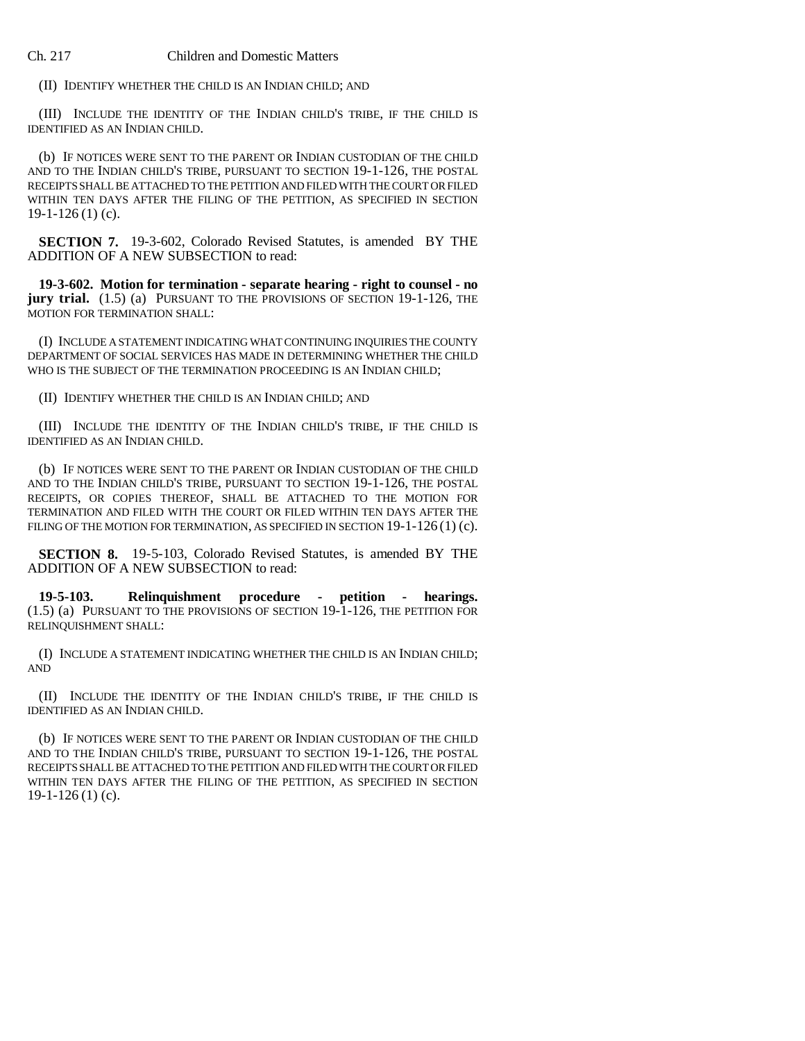(II) IDENTIFY WHETHER THE CHILD IS AN INDIAN CHILD; AND

(III) INCLUDE THE IDENTITY OF THE INDIAN CHILD'S TRIBE, IF THE CHILD IS IDENTIFIED AS AN INDIAN CHILD.

(b) IF NOTICES WERE SENT TO THE PARENT OR INDIAN CUSTODIAN OF THE CHILD AND TO THE INDIAN CHILD'S TRIBE, PURSUANT TO SECTION 19-1-126, THE POSTAL RECEIPTS SHALL BE ATTACHED TO THE PETITION AND FILED WITH THE COURT OR FILED WITHIN TEN DAYS AFTER THE FILING OF THE PETITION, AS SPECIFIED IN SECTION  $19-1-126(1)$  (c).

**SECTION 7.** 19-3-602, Colorado Revised Statutes, is amended BY THE ADDITION OF A NEW SUBSECTION to read:

**19-3-602. Motion for termination - separate hearing - right to counsel - no jury trial.** (1.5) (a) PURSUANT TO THE PROVISIONS OF SECTION 19-1-126. THE MOTION FOR TERMINATION SHALL:

(I) INCLUDE A STATEMENT INDICATING WHAT CONTINUING INQUIRIES THE COUNTY DEPARTMENT OF SOCIAL SERVICES HAS MADE IN DETERMINING WHETHER THE CHILD WHO IS THE SUBJECT OF THE TERMINATION PROCEEDING IS AN INDIAN CHILD;

(II) IDENTIFY WHETHER THE CHILD IS AN INDIAN CHILD; AND

(III) INCLUDE THE IDENTITY OF THE INDIAN CHILD'S TRIBE, IF THE CHILD IS IDENTIFIED AS AN INDIAN CHILD.

(b) IF NOTICES WERE SENT TO THE PARENT OR INDIAN CUSTODIAN OF THE CHILD AND TO THE INDIAN CHILD'S TRIBE, PURSUANT TO SECTION 19-1-126, THE POSTAL RECEIPTS, OR COPIES THEREOF, SHALL BE ATTACHED TO THE MOTION FOR TERMINATION AND FILED WITH THE COURT OR FILED WITHIN TEN DAYS AFTER THE FILING OF THE MOTION FOR TERMINATION, AS SPECIFIED IN SECTION 19-1-126(1) (c).

**SECTION 8.** 19-5-103, Colorado Revised Statutes, is amended BY THE ADDITION OF A NEW SUBSECTION to read:

**19-5-103. Relinquishment procedure - petition - hearings.** (1.5) (a) PURSUANT TO THE PROVISIONS OF SECTION 19-1-126, THE PETITION FOR RELINQUISHMENT SHALL:

(I) INCLUDE A STATEMENT INDICATING WHETHER THE CHILD IS AN INDIAN CHILD; AND

(II) INCLUDE THE IDENTITY OF THE INDIAN CHILD'S TRIBE, IF THE CHILD IS IDENTIFIED AS AN INDIAN CHILD.

(b) IF NOTICES WERE SENT TO THE PARENT OR INDIAN CUSTODIAN OF THE CHILD AND TO THE INDIAN CHILD'S TRIBE, PURSUANT TO SECTION 19-1-126, THE POSTAL RECEIPTS SHALL BE ATTACHED TO THE PETITION AND FILED WITH THE COURT OR FILED WITHIN TEN DAYS AFTER THE FILING OF THE PETITION, AS SPECIFIED IN SECTION 19-1-126 (1) (c).